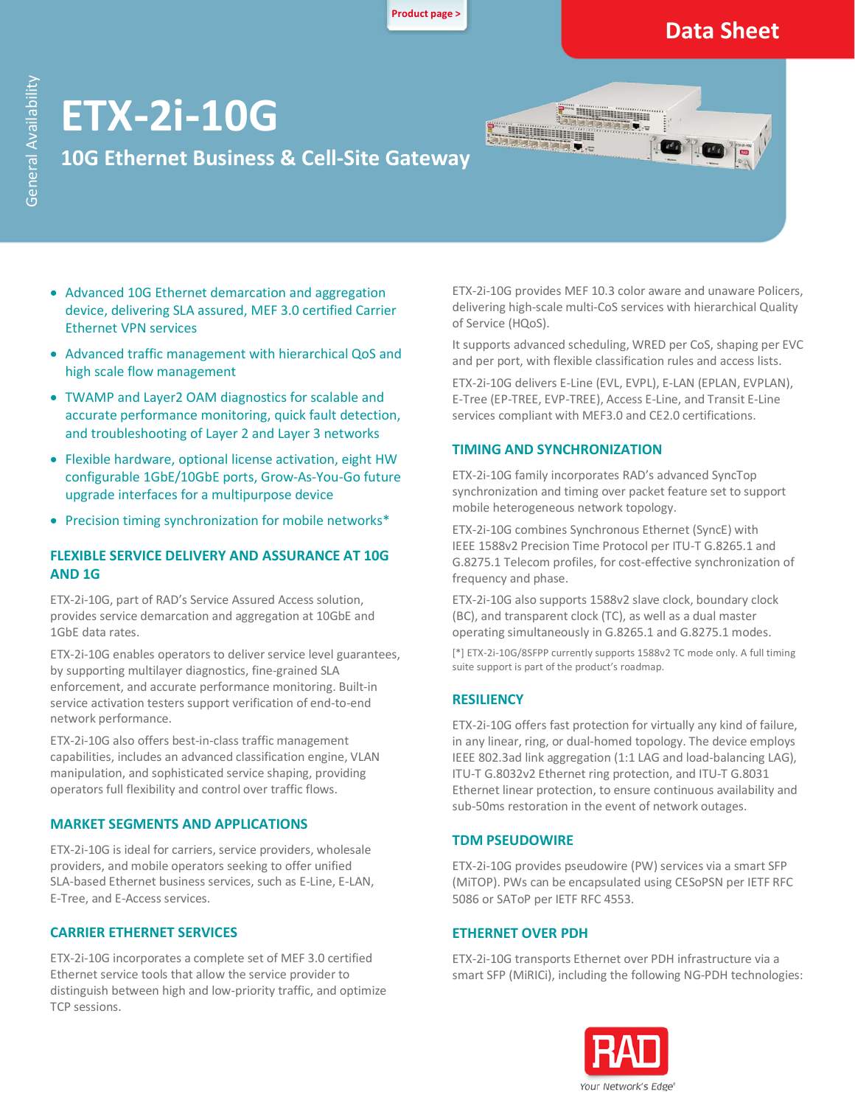**[Product page >](https://www.rad.com/)**

### **Data Sheet**

# **ETX**‑**2i**‑**10G**

### **10G Ethernet Business & Cell-Site Gateway**

- Advanced 10G Ethernet demarcation and aggregation device, delivering SLA assured, MEF 3.0 certified Carrier Ethernet VPN services
- Advanced traffic management with hierarchical QoS and high scale flow management
- TWAMP and Layer2 OAM diagnostics for scalable and accurate performance monitoring, quick fault detection, and troubleshooting of Layer 2 and Layer 3 networks
- Flexible hardware, optional license activation, eight HW configurable 1GbE/10GbE ports, Grow-As-You-Go future upgrade interfaces for a multipurpose device
- Precision timing synchronization for mobile networks\*

### **FLEXIBLE SERVICE DELIVERY AND ASSURANCE AT 10G AND 1G**

ETX-2i-10G, part of RAD's Service Assured Access solution, provides service demarcation and aggregation at 10GbE and 1GbE data rates.

ETX-2i-10G enables operators to deliver service level guarantees, by supporting multilayer diagnostics, fine-grained SLA enforcement, and accurate performance monitoring. Built-in service activation testers support verification of end-to-end network performance.

ETX-2i-10G also offers best-in-class traffic management capabilities, includes an advanced classification engine, VLAN manipulation, and sophisticated service shaping, providing operators full flexibility and control over traffic flows.

### **MARKET SEGMENTS AND APPLICATIONS**

ETX-2i-10G is ideal for carriers, service providers, wholesale providers, and mobile operators seeking to offer unified SLA-based Ethernet business services, such as E-Line, E-LAN, E-Tree, and E-Access services.

### **CARRIER ETHERNET SERVICES**

ETX-2i-10G incorporates a complete set of MEF 3.0 certified Ethernet service tools that allow the service provider to distinguish between high and low-priority traffic, and optimize TCP sessions.

ETX-2i-10G provides MEF 10.3 color aware and unaware Policers, delivering high-scale multi-CoS services with hierarchical Quality of Service (HQoS).

<u>UWE Ama</u>

Baal,

aaaa .

It supports advanced scheduling, WRED per CoS, shaping per EVC and per port, with flexible classification rules and access lists.

ETX-2i-10G delivers E-Line (EVL, EVPL), E-LAN (EPLAN, EVPLAN), E-Tree (EP-TREE, EVP-TREE), Access E-Line, and Transit E-Line services compliant with MEF3.0 and CE2.0 certifications.

### **TIMING AND SYNCHRONIZATION**

ETX-2i-10G family incorporates RAD's advanced SyncTop synchronization and timing over packet feature set to support mobile heterogeneous network topology.

ETX-2i-10G combines Synchronous Ethernet (SyncE) with IEEE 1588v2 Precision Time Protocol per ITU-T G.8265.1 and G.8275.1 Telecom profiles, for cost-effective synchronization of frequency and phase.

ETX-2i-10G also supports 1588v2 slave clock, boundary clock (BC), and transparent clock (TC), as well as a dual master operating simultaneously in G.8265.1 and G.8275.1 modes.

[\*] ETX-2i-10G/8SFPP currently supports 1588v2 TC mode only. A full timing suite support is part of the product's roadmap.

### **RESILIENCY**

ETX-2i-10G offers fast protection for virtually any kind of failure, in any linear, ring, or dual-homed topology. The device employs IEEE 802.3ad link aggregation (1:1 LAG and load-balancing LAG), ITU-T G.8032v2 Ethernet ring protection, and ITU-T G.8031 Ethernet linear protection, to ensure continuous availability and sub-50ms restoration in the event of network outages.

### **TDM PSEUDOWIRE**

ETX-2i-10G provides pseudowire (PW) services via a smart SFP (MiTOP). PWs can be encapsulated using CESoPSN per IETF RFC 5086 or SAToP per IETF RFC 4553.

### **ETHERNET OVER PDH**

ETX-2i-10G transports Ethernet over PDH infrastructure via a smart SFP (MiRICi), including the following NG-PDH technologies:

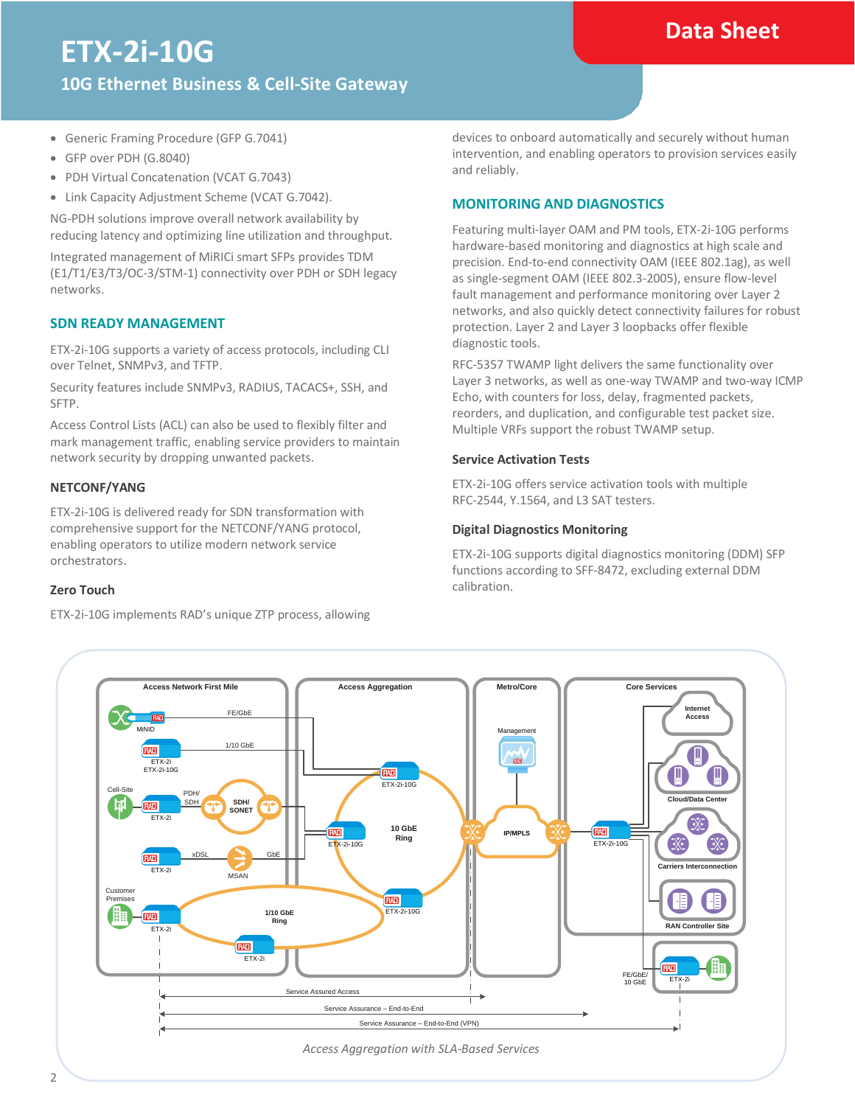### **Data Sheet**

# **ETX**‑**2i**‑**10G**

**10G Ethernet Business & Cell-Site Gateway**

- Generic Framing Procedure (GFP G.7041)
- GFP over PDH (G.8040)
- PDH Virtual Concatenation (VCAT G.7043)
- Link Capacity Adjustment Scheme (VCAT G.7042).

NG-PDH solutions improve overall network availability by reducing latency and optimizing line utilization and throughput.

Integrated management of MiRICi smart SFPs provides TDM (E1/T1/E3/T3/OC-3/STM-1) connectivity over PDH or SDH legacy networks.

### **SDN READY MANAGEMENT**

ETX-2i-10G supports a variety of access protocols, including CLI over Telnet, SNMPv3, and TFTP.

Security features include SNMPv3, RADIUS, TACACS+, SSH, and SFTP.

Access Control Lists (ACL) can also be used to flexibly filter and mark management traffic, enabling service providers to maintain network security by dropping unwanted packets.

### **NETCONF/YANG**

ETX-2i-10G is delivered ready for SDN transformation with comprehensive support for the NETCONF/YANG protocol, enabling operators to utilize modern network service orchestrators.

### **Zero Touch**

ETX-2i-10G implements RAD's unique ZTP process, allowing

devices to onboard automatically and securely without human intervention, and enabling operators to provision services easily and reliably.

### **MONITORING AND DIAGNOSTICS**

Featuring multi-layer OAM and PM tools, ETX-2i-10G performs hardware-based monitoring and diagnostics at high scale and precision. End-to-end connectivity OAM (IEEE 802.1ag), as well as single-segment OAM (IEEE 802.3-2005), ensure flow-level fault management and performance monitoring over Layer 2 networks, and also quickly detect connectivity failures for robust protection. Layer 2 and Layer 3 loopbacks offer flexible diagnostic tools.

RFC-5357 TWAMP light delivers the same functionality over Layer 3 networks, as well as one-way TWAMP and two-way ICMP Echo, with counters for loss, delay, fragmented packets, reorders, and duplication, and configurable test packet size. Multiple VRFs support the robust TWAMP setup.

### **Service Activation Tests**

ETX-2i-10G offers service activation tools with multiple RFC-2544, Y.1564, and L3 SAT testers.

### **Digital Diagnostics Monitoring**

ETX-2i-10G supports digital diagnostics monitoring (DDM) SFP functions according to SFF-8472, excluding external DDM calibration.

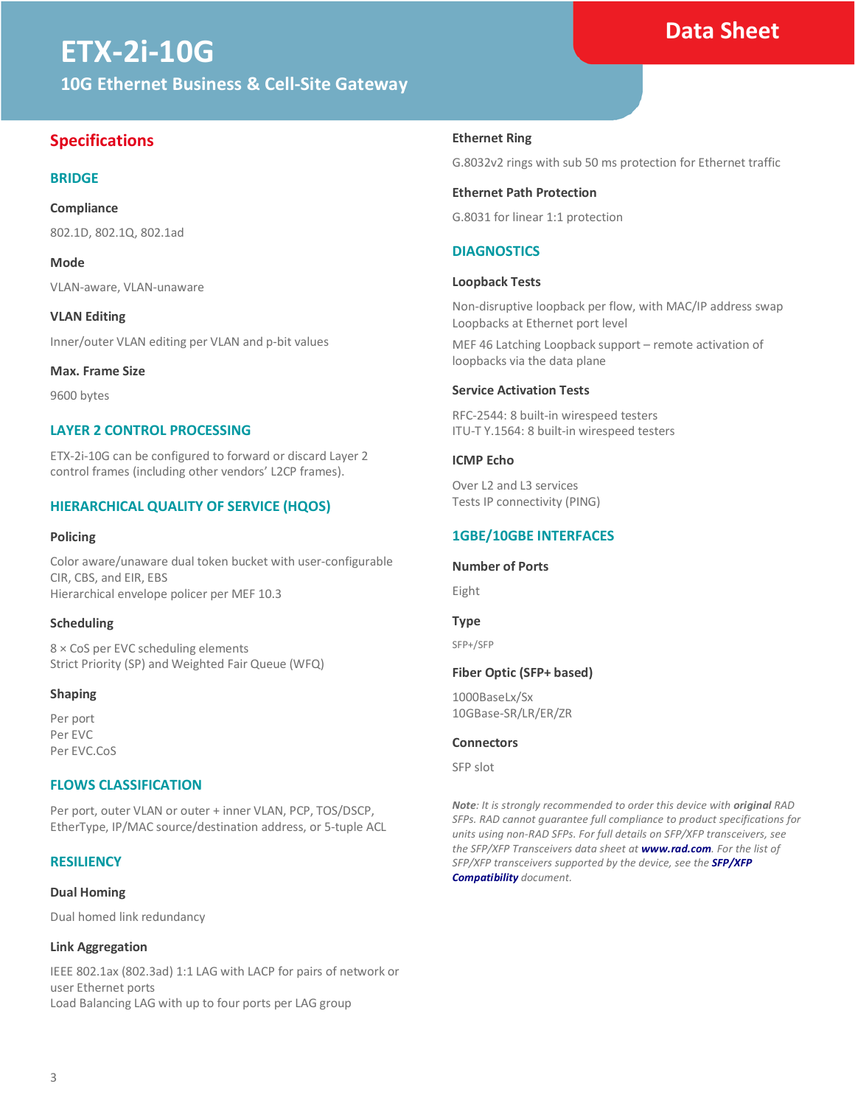# **ETX**‑**2i**‑**10G**

**10G Ethernet Business & Cell-Site Gateway**

### **Specifications**

### **BRIDGE**

### **Compliance**

802.1D, 802.1Q, 802.1ad

**Mode**

VLAN-aware, VLAN-unaware

**VLAN Editing** Inner/outer VLAN editing per VLAN and p-bit values

**Max. Frame Size**

9600 bytes

### **LAYER 2 CONTROL PROCESSING**

ETX-2i-10G can be configured to forward or discard Layer 2 control frames (including other vendors' L2CP frames).

### **HIERARCHICAL QUALITY OF SERVICE (HQOS)**

### **Policing**

Color aware/unaware dual token bucket with user-configurable CIR, CBS, and EIR, EBS Hierarchical envelope policer per MEF 10.3

### **Scheduling**

8 × CoS per EVC scheduling elements Strict Priority (SP) and Weighted Fair Queue (WFQ)

### **Shaping**

Per port Per EVC Per EVC.CoS

### **FLOWS CLASSIFICATION**

Per port, outer VLAN or outer + inner VLAN, PCP, TOS/DSCP, EtherType, IP/MAC source/destination address, or 5-tuple ACL

### **RESILIENCY**

### **Dual Homing**

Dual homed link redundancy

### **Link Aggregation**

IEEE 802.1ax (802.3ad) 1:1 LAG with LACP for pairs of network or user Ethernet ports Load Balancing LAG with up to four ports per LAG group

### **Ethernet Ring**

G.8032v2 rings with sub 50 ms protection for Ethernet traffic

### **Ethernet Path Protection**

G.8031 for linear 1:1 protection

### **DIAGNOSTICS**

### **Loopback Tests**

Non-disruptive loopback per flow, with MAC/IP address swap Loopbacks at Ethernet port level

MEF 46 Latching Loopback support – remote activation of loopbacks via the data plane

### **Service Activation Tests**

RFC-2544: 8 built-in wirespeed testers ITU-T Y.1564: 8 built-in wirespeed testers

### **ICMP Echo**

Over L2 and L3 services Tests IP connectivity (PING)

### **1GBE/10GBE INTERFACES**

### **Number of Ports**

Eight

**Type**

SFP+/SFP

### **Fiber Optic (SFP+ based)**

1000BaseLx/Sx 10GBase-SR/LR/ER/ZR

### **Connectors**

SFP slot

*Note: It is strongly recommended to order this device with original RAD SFPs. RAD cannot guarantee full compliance to product specifications for units using non-RAD SFPs. For full details on SFP/XFP transceivers, see the SFP/XFP Transceivers data sheet at [www.rad.com](http://www.rad.com/). For the list of SFP/XFP transceivers supported by the device, see the [SFP/XFP](http://raddist.rad.com/Media/26239_ETX-5300A_SFPs_1_2.pdf)  [Compatibility](http://raddist.rad.com/Media/26239_ETX-5300A_SFPs_1_2.pdf) document.* 

### **Data Sheet**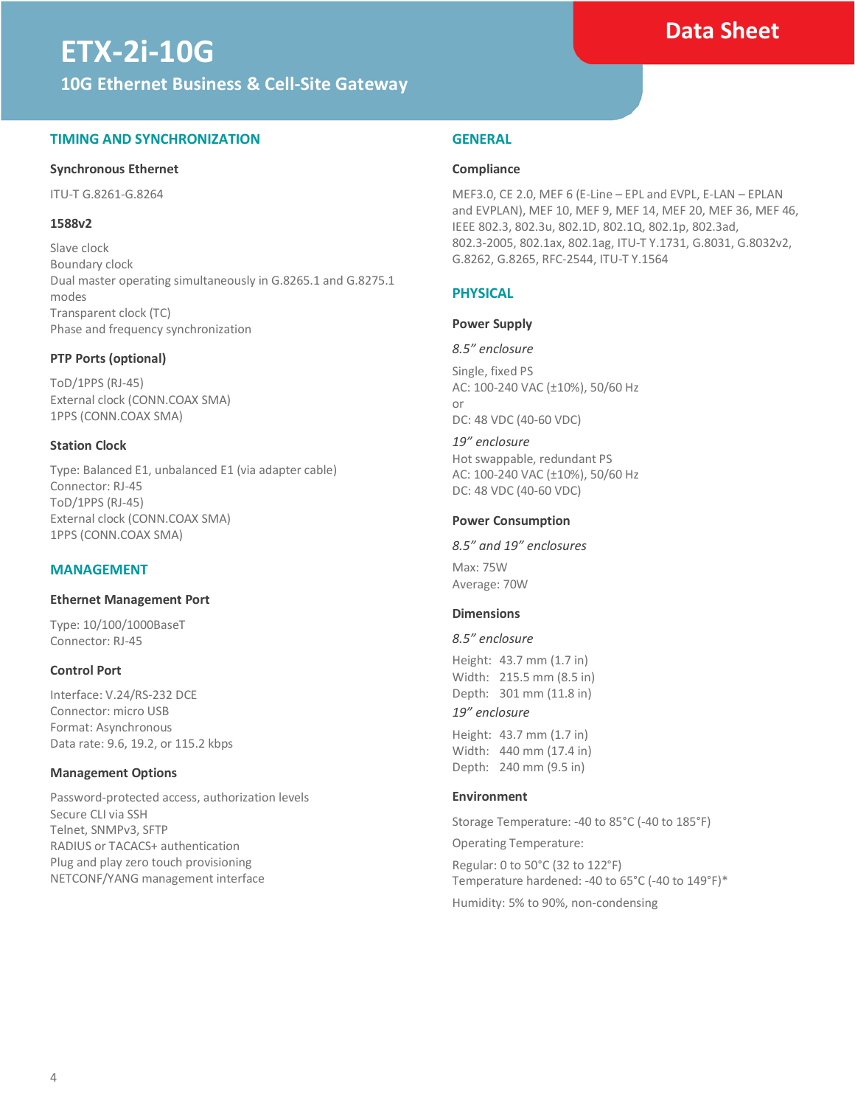# **ETX**‑**2i**‑**10G**

**10G Ethernet Business & Cell-Site Gateway**

### **TIMING AND SYNCHRONIZATION**

### **Synchronous Ethernet**

ITU-T G.8261-G.8264

### **1588v2**

Slave clock Boundary clock Dual master operating simultaneously in G.8265.1 and G.8275.1 modes Transparent clock (TC) Phase and frequency synchronization

### **PTP Ports (optional)**

ToD/1PPS (RJ-45) External clock (CONN.COAX SMA) 1PPS (CONN.COAX SMA)

### **Station Clock**

Type: Balanced E1, unbalanced E1 (via adapter cable) Connector: RJ-45 ToD/1PPS (RJ-45) External clock (CONN.COAX SMA) 1PPS (CONN.COAX SMA)

### **MANAGEMENT**

### **Ethernet Management Port**

Type: 10/100/1000BaseT Connector: RJ-45

### **Control Port**

Interface: V.24/RS-232 DCE Connector: micro USB Format: Asynchronous Data rate: 9.6, 19.2, or 115.2 kbps

### **Management Options**

Password-protected access, authorization levels Secure CLI via SSH Telnet, SNMPv3, SFTP RADIUS or TACACS+ authentication Plug and play zero touch provisioning NETCONF/YANG management interface

### **GENERAL**

### **Compliance**

MEF3.0, CE 2.0, MEF 6 (E-Line – EPL and EVPL, E-LAN – EPLAN and EVPLAN), MEF 10, MEF 9, MEF 14, MEF 20, MEF 36, MEF 46, IEEE 802.3, 802.3u, 802.1D, 802.1Q, 802.1p, 802.3ad, 802.3-2005, 802.1ax, 802.1ag, ITU-T Y.1731, G.8031, G.8032v2, G.8262, G.8265, RFC-2544, ITU-T Y.1564

### **PHYSICAL**

### **Power Supply**

*8.5" enclosure* Single, fixed PS AC: 100-240 VAC (±10%), 50/60 Hz or

DC: 48 VDC (40-60 VDC)

*19" enclosure* Hot swappable, redundant PS AC: 100-240 VAC (±10%), 50/60 Hz DC: 48 VDC (40-60 VDC)

### **Power Consumption**

### *8.5" and 19" enclosures*

Max: 75W Average: 70W

### **Dimensions**

### *8.5" enclosure*

Height: 43.7 mm (1.7 in) Width: 215.5 mm (8.5 in) Depth: 301 mm (11.8 in)

### *19" enclosure*

Height: 43.7 mm (1.7 in) Width: 440 mm (17.4 in) Depth: 240 mm (9.5 in)

### **Environment**

Storage Temperature: -40 to 85°C (-40 to 185°F)

Operating Temperature:

Regular: 0 to 50°C (32 to 122°F) Temperature hardened: -40 to 65°C (-40 to 149°F)\* Humidity: 5% to 90%, non-condensing

### **Data Sheet**